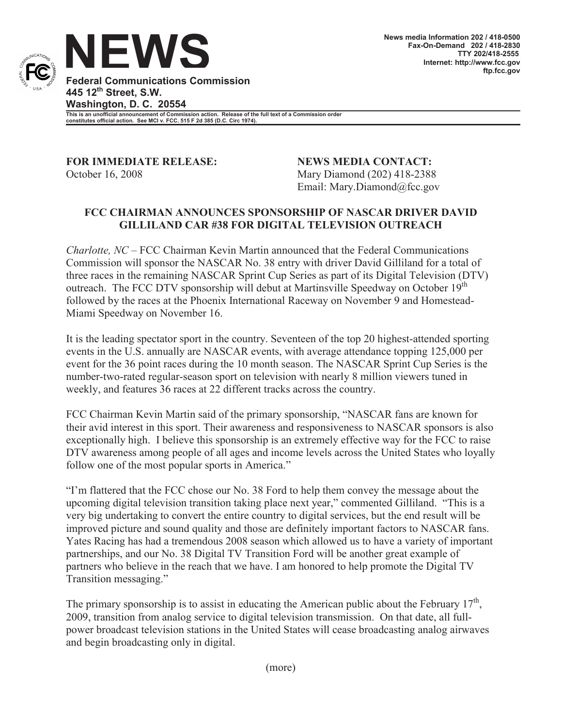

**Federal Communications Commission 445 12th Street, S.W. Washington, D. C. 20554 This is an unofficial announcement of Commission action. Release of the full text of a Commission order constitutes official action. See MCI v. FCC. 515 F 2d 385 (D.C. Circ 1974).**

**FOR IMMEDIATE RELEASE: NEWS MEDIA CONTACT:** October 16, 2008 Mary Diamond (202) 418-2388

Email: Mary.Diamond@fcc.gov

## **FCC CHAIRMAN ANNOUNCES SPONSORSHIP OF NASCAR DRIVER DAVID GILLILAND CAR #38 FOR DIGITAL TELEVISION OUTREACH**

*Charlotte, NC* – FCC Chairman Kevin Martin announced that the Federal Communications Commission will sponsor the NASCAR No. 38 entry with driver David Gilliland for a total of three races in the remaining NASCAR Sprint Cup Series as part of its Digital Television (DTV) outreach. The FCC DTV sponsorship will debut at Martinsville Speedway on October 19<sup>th</sup> followed by the races at the Phoenix International Raceway on November 9 and Homestead-Miami Speedway on November 16.

It is the leading spectator sport in the country. Seventeen of the top 20 highest-attended sporting events in the U.S. annually are NASCAR events, with average attendance topping 125,000 per event for the 36 point races during the 10 month season. The NASCAR Sprint Cup Series is the number-two-rated regular-season sport on television with nearly 8 million viewers tuned in weekly, and features 36 races at 22 different tracks across the country.

FCC Chairman Kevin Martin said of the primary sponsorship, "NASCAR fans are known for their avid interest in this sport. Their awareness and responsiveness to NASCAR sponsors is also exceptionally high. I believe this sponsorship is an extremely effective way for the FCC to raise DTV awareness among people of all ages and income levels across the United States who loyally follow one of the most popular sports in America."

"I'm flattered that the FCC chose our No. 38 Ford to help them convey the message about the upcoming digital television transition taking place next year," commented Gilliland. "This is a very big undertaking to convert the entire country to digital services, but the end result will be improved picture and sound quality and those are definitely important factors to NASCAR fans. Yates Racing has had a tremendous 2008 season which allowed us to have a variety of important partnerships, and our No. 38 Digital TV Transition Ford will be another great example of partners who believe in the reach that we have. I am honored to help promote the Digital TV Transition messaging."

The primary sponsorship is to assist in educating the American public about the February  $17<sup>th</sup>$ , 2009, transition from analog service to digital television transmission. On that date, all fullpower broadcast television stations in the United States will cease broadcasting analog airwaves and begin broadcasting only in digital.